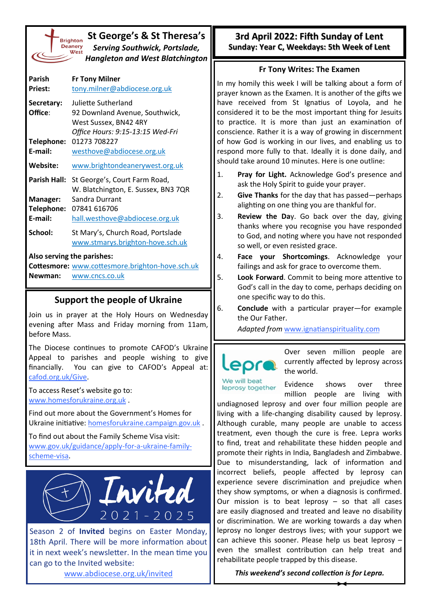| St George's & St Theresa's<br><b>Brightor</b><br><b>Deanery</b><br><b>Serving Southwick, Portslade,</b><br>West<br>Hangleton and West Blatchington |                                                                                                                    |  |  |  |  |
|----------------------------------------------------------------------------------------------------------------------------------------------------|--------------------------------------------------------------------------------------------------------------------|--|--|--|--|
| Parish<br><b>Priest:</b>                                                                                                                           | <b>Fr Tony Milner</b><br>tony.milner@abdiocese.org.uk                                                              |  |  |  |  |
| Secretary:<br>Office:                                                                                                                              | Juliette Sutherland<br>92 Downland Avenue, Southwick,<br>West Sussex, BN42 4RY<br>Office Hours: 9:15-13:15 Wed-Fri |  |  |  |  |
| Telephone:<br>E-mail:                                                                                                                              | 01273 708227<br>westhove@abdiocese.org.uk                                                                          |  |  |  |  |
| Website:                                                                                                                                           | www.brightondeanerywest.org.uk                                                                                     |  |  |  |  |
|                                                                                                                                                    | Parish Hall: St George's, Court Farm Road,<br>W. Blatchington, E. Sussex, BN3 7QR                                  |  |  |  |  |
| Manager:<br>E-mail:                                                                                                                                | Sandra Durrant<br>Telephone: 07841 616706<br>hall.westhove@abdiocese.org.uk                                        |  |  |  |  |
| School:                                                                                                                                            | St Mary's, Church Road, Portslade<br>www.stmarys.brighton-hove.sch.uk                                              |  |  |  |  |
| Newman:                                                                                                                                            | Also serving the parishes:<br>Cottesmore: www.cottesmore.brighton-hove.sch.uk<br>www.cncs.co.uk                    |  |  |  |  |

## **Support the people of Ukraine**

Join us in prayer at the Holy Hours on Wednesday evening after Mass and Friday morning from 11am, before Mass.

The Diocese continues to promote CAFOD's Ukraine Appeal to parishes and people wishing to give financially. You can give to CAFOD's Appeal at: [cafod.org.uk/Give.](https://cafod.org.uk/Give) 

To access Reset's website go to: [www.homesforukraine.org.uk](https://www.homesforukraine.org.uk) .

Find out more about the Government's Homes for Ukraine initiative: [homesforukraine.campaign.gov.uk](https://homesforukraine.campaign.gov.uk) .

To find out about the Family Scheme Visa visit: [www.gov.uk/guidance/apply](https://www.gov.uk/guidance/apply-for-a-ukraine-family-scheme-visa)-for-a-ukraine-family[scheme](https://www.gov.uk/guidance/apply-for-a-ukraine-family-scheme-visa)-visa.



Season 2 of **Invited** begins on Easter Monday, 18th April. There will be more information about it in next week's newsletter. In the mean time you can go to the Invited website:

[www.abdiocese.org.uk/invited](https://www.abdiocese.org.uk/invited)

## **3rd April 2022: Fifth Sunday of Lent Sunday: Year C, Weekdays: 5th Week of Lent**

## **Fr Tony Writes: The Examen**

In my homily this week I will be talking about a form of prayer known as the Examen. It is another of the gifts we have received from St Ignatius of Loyola, and he considered it to be the most important thing for Jesuits to practice. It is more than just an examination of conscience. Rather it is a way of growing in discernment of how God is working in our lives, and enabling us to respond more fully to that. Ideally it is done daily, and should take around 10 minutes. Here is one outline:

- 1. **Pray for Light.** Acknowledge God's presence and ask the Holy Spirit to guide your prayer.
- 2. **Give Thanks** for the day that has passed—perhaps alighting on one thing you are thankful for.
- 3. **Review the Da**y. Go back over the day, giving thanks where you recognise you have responded to God, and noting where you have not responded so well, or even resisted grace.
- 4. **Face your Shortcomings**. Acknowledge your failings and ask for grace to overcome them.
- 5. **Look Forward**. Commit to being more attentive to God's call in the day to come, perhaps deciding on one specific way to do this.
- 6. **Conclude** with a particular prayer—for example the Our Father.

*Adapted from* [www.ignatianspirituality.com](https://www.ignatianspirituality.com/ignatian-prayer/the-examen/)



Over seven million people are currently affected by leprosy across the world.

Me will heat leprosy together

Evidence shows over three million people are living with

undiagnosed leprosy and over four million people are living with a life-changing disability caused by leprosy. Although curable, many people are unable to access treatment, even though the cure is free. Lepra works to find, treat and rehabilitate these hidden people and promote their rights in India, Bangladesh and Zimbabwe. Due to misunderstanding, lack of information and incorrect beliefs, people affected by leprosy can experience severe discrimination and prejudice when they show symptoms, or when a diagnosis is confirmed. Our mission is to beat leprosy  $-$  so that all cases are easily diagnosed and treated and leave no disability or discrimination. We are working towards a day when leprosy no longer destroys lives; with your support we can achieve this sooner. Please help us beat leprosy – even the smallest contribution can help treat and rehabilitate people trapped by this disease.

*This weekend's second collection is for Lepra.*